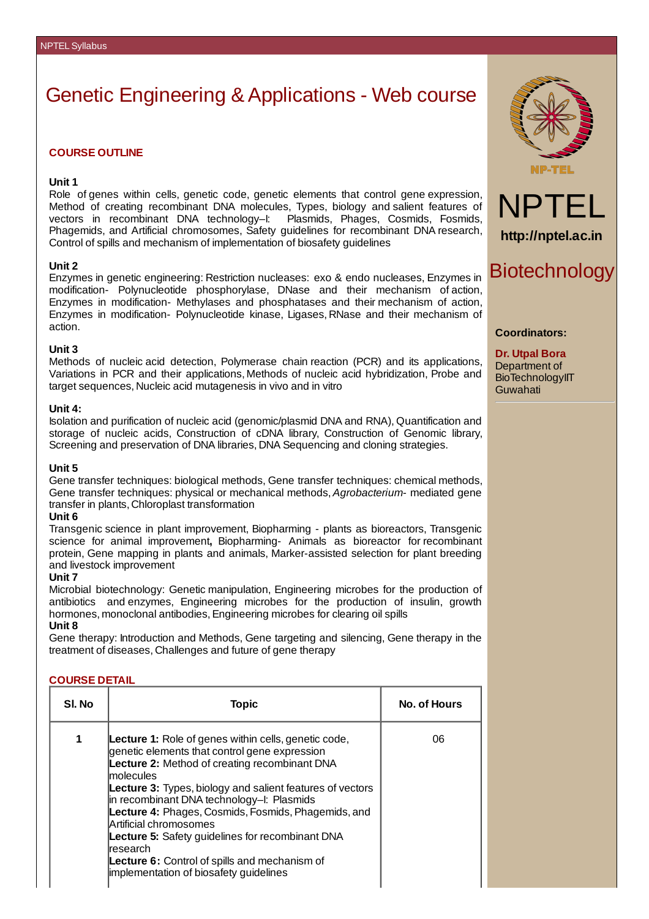# Genetic Engineering & Applications - Web course

## **COURSE OUTLINE**

#### **Unit 1**

Role of genes within cells, genetic code, genetic elements that control gene expression, Method of creating recombinant DNA molecules, Types, biology and salient features of vectors in recombinant DNA technology–I: Plasmids, Phages, Cosmids, Fosmids, Phagemids, and Artificial chromosomes, Safety guidelines for recombinant DNA research, Control of spills and mechanism of implementation of biosafety guidelines

#### **Unit 2**

Enzymes in genetic engineering: Restriction nucleases: exo & endo nucleases, Enzymes in modification- Polynucleotide phosphorylase, DNase and their mechanism of action, Enzymes in modification- Methylases and phosphatases and their mechanism of action, Enzymes in modification- Polynucleotide kinase, Ligases, RNase and their mechanism of action.

#### **Unit 3**

Methods of nucleic acid detection, Polymerase chain reaction (PCR) and its applications, Variations in PCR and their applications, Methods of nucleic acid hybridization, Probe and target sequences, Nucleic acid mutagenesis in vivo and in vitro

#### **Unit 4:**

Isolation and purification of nucleic acid (genomic/plasmid DNA and RNA), Quantification and storage of nucleic acids, Construction of cDNA library, Construction of Genomic library, Screening and preservation of DNA libraries, DNA Sequencing and cloning strategies.

#### **Unit 5**

Gene transfer techniques: biological methods, Gene transfer techniques: chemical methods, Gene transfer techniques: physical or mechanical methods,*Agrobacterium*- mediated gene transfer in plants, Chloroplast transformation

#### **Unit 6**

Transgenic science in plant improvement, Biopharming - plants as bioreactors, Transgenic science for animal improvement**,** Biopharming- Animals as bioreactor for recombinant protein, Gene mapping in plants and animals, Marker-assisted selection for plant breeding and livestock improvement

#### **Unit 7**

Microbial biotechnology: Genetic manipulation, Engineering microbes for the production of antibiotics and enzymes, Engineering microbes for the production of insulin, growth hormones, monoclonal antibodies, Engineering microbes for clearing oil spills

# **Unit 8**

Gene therapy: Introduction and Methods, Gene targeting and silencing, Gene therapy in the treatment of diseases, Challenges and future of gene therapy

### **COURSE DETAIL**

| SI. No | Topic                                                                                                                                                                                                                                                                                                                                                                                                                                                                                                                                                          | <b>No. of Hours</b> |
|--------|----------------------------------------------------------------------------------------------------------------------------------------------------------------------------------------------------------------------------------------------------------------------------------------------------------------------------------------------------------------------------------------------------------------------------------------------------------------------------------------------------------------------------------------------------------------|---------------------|
| 1      | <b>Lecture 1:</b> Role of genes within cells, genetic code,<br>genetic elements that control gene expression<br>Lecture 2: Method of creating recombinant DNA<br><b>Imolecules</b><br><b>Lecture 3:</b> Types, biology and salient features of vectors<br>in recombinant DNA technology-I: Plasmids<br>Lecture 4: Phages, Cosmids, Fosmids, Phagemids, and<br>Artificial chromosomes<br><b>Lecture 5:</b> Safety guidelines for recombinant DNA<br>lresearch<br><b>Lecture 6:</b> Control of spills and mechanism of<br>implementation of biosafety guidelines | 06                  |





**http://nptel.ac.in**

# Biotechnology

#### **Coordinators:**

**Dr. Utpal Bora** Department of BioTechnologyIIT Guwahati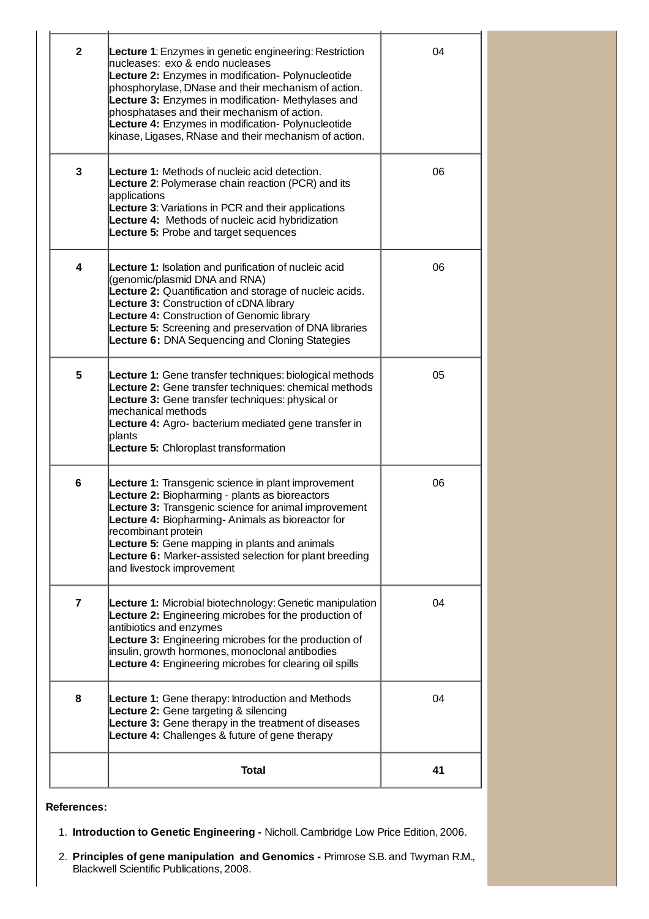| $\overline{2}$          | Lecture 1: Enzymes in genetic engineering: Restriction<br>nucleases: exo & endo nucleases<br>Lecture 2: Enzymes in modification- Polynucleotide<br>phosphorylase, DNase and their mechanism of action.<br>Lecture 3: Enzymes in modification- Methylases and<br>phosphatases and their mechanism of action.<br>Lecture 4: Enzymes in modification- Polynucleotide<br>kinase, Ligases, RNase and their mechanism of action. | 04 |
|-------------------------|----------------------------------------------------------------------------------------------------------------------------------------------------------------------------------------------------------------------------------------------------------------------------------------------------------------------------------------------------------------------------------------------------------------------------|----|
| 3                       | <b>Lecture 1:</b> Methods of nucleic acid detection.<br>Lecture 2: Polymerase chain reaction (PCR) and its<br>applications<br><b>Lecture 3: Variations in PCR and their applications</b><br>Lecture 4: Methods of nucleic acid hybridization<br><b>Lecture 5:</b> Probe and target sequences                                                                                                                               | 06 |
| 4                       | <b>Lecture 1:</b> Isolation and purification of nucleic acid<br>(genomic/plasmid DNA and RNA)<br>Lecture 2: Quantification and storage of nucleic acids.<br>Lecture 3: Construction of cDNA library<br>Lecture 4: Construction of Genomic library<br>Lecture 5: Screening and preservation of DNA libraries<br>Lecture 6: DNA Sequencing and Cloning Stategies                                                             | 06 |
| 5                       | Lecture 1: Gene transfer techniques: biological methods<br>Lecture 2: Gene transfer techniques: chemical methods<br>Lecture 3: Gene transfer techniques: physical or<br>mechanical methods<br>Lecture 4: Agro- bacterium mediated gene transfer in<br>plants<br>Lecture 5: Chloroplast transformation                                                                                                                      | 05 |
| 6                       | Lecture 1: Transgenic science in plant improvement<br>Lecture 2: Biopharming - plants as bioreactors<br>Lecture 3: Transgenic science for animal improvement<br><b>Lecture 4:</b> Biopharming-Animals as bioreactor for<br>recombinant protein<br>Lecture 5: Gene mapping in plants and animals<br>Lecture 6: Marker-assisted selection for plant breeding<br>and livestock improvement                                    | 06 |
| $\overline{\mathbf{z}}$ | <b>Lecture 1:</b> Microbial biotechnology: Genetic manipulation<br>Lecture 2: Engineering microbes for the production of<br>antibiotics and enzymes<br>Lecture 3: Engineering microbes for the production of<br>insulin, growth hormones, monoclonal antibodies<br><b>Lecture 4:</b> Engineering microbes for clearing oil spills                                                                                          | 04 |
| 8                       | <b>Lecture 1:</b> Gene therapy: Introduction and Methods<br>Lecture 2: Gene targeting & silencing<br>Lecture 3: Gene therapy in the treatment of diseases<br>Lecture 4: Challenges & future of gene therapy                                                                                                                                                                                                                | 04 |
|                         | <b>Total</b>                                                                                                                                                                                                                                                                                                                                                                                                               | 41 |
|                         |                                                                                                                                                                                                                                                                                                                                                                                                                            |    |

**References:**

1. **Introduction to Genetic Engineering -** Nicholl. Cambridge Low Price Edition, 2006.

2. **Principles of gene manipulation and Genomics -** Primrose S.B. and Twyman R.M., Blackwell Scientific Publications, 2008.